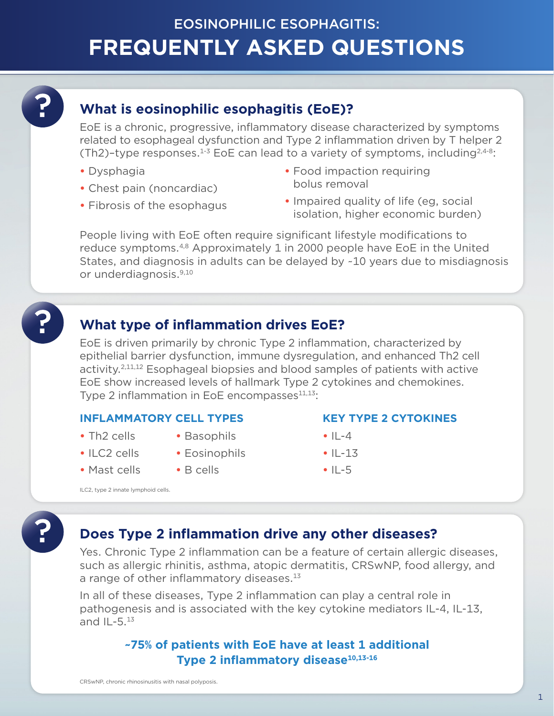# **FREQUENTLY ASKED QUESTIONS** EOSINOPHILIC ESOPHAGITIS:

## **What is eosinophilic esophagitis (EoE)?**

EoE is a chronic, progressive, inflammatory disease characterized by symptoms related to esophageal dysfunction and Type 2 inflammation driven by T helper 2 (Th2)-type responses. $1-3$  EoE can lead to a variety of symptoms, including $2.4-8$ :

- **•** Dysphagia
- **•** Chest pain (noncardiac)
- **•** Fibrosis of the esophagus
- **•** Food impaction requiring bolus removal
- **•** Impaired quality of life (eg, social isolation, higher economic burden)

People living with EoE often require significant lifestyle modifications to reduce symptoms.4,8 Approximately 1 in 2000 people have EoE in the United States, and diagnosis in adults can be delayed by ~10 years due to misdiagnosis or underdiagnosis.9,10

## **What type of inflammation drives EoE?**

EoE is driven primarily by chronic Type 2 inflammation, characterized by epithelial barrier dysfunction, immune dysregulation, and enhanced Th2 cell activity.2,11,12 Esophageal biopsies and blood samples of patients with active EoE show increased levels of hallmark Type 2 cytokines and chemokines. Type 2 inflammation in EoE encompasses<sup>11,13</sup>:

### **INFLAMMATORY CELL TYPES KEY TYPE 2 CYTOKINES**

- **•** Th2 cells
- **•** ILC2 cells
- **•** Mast cells
- **•** Basophils
- **•** Eosinophils
- **•** B cells

- **•** IL-4
- **•** IL-13
- **•** IL-5

ILC2, type 2 innate lymphoid cells.

## **Does Type 2 inflammation drive any other diseases?**

Yes. Chronic Type 2 inflammation can be a feature of certain allergic diseases, such as allergic rhinitis, asthma, atopic dermatitis, CRSwNP, food allergy, and a range of other inflammatory diseases.<sup>13</sup>

In all of these diseases, Type 2 inflammation can play a central role in pathogenesis and is associated with the key cytokine mediators IL-4, IL-13, and  $IL-5.<sup>13</sup>$ 

### **~75% of patients with EoE have at least 1 additional Type 2 inflammatory disease**<sup>10,13-16</sup>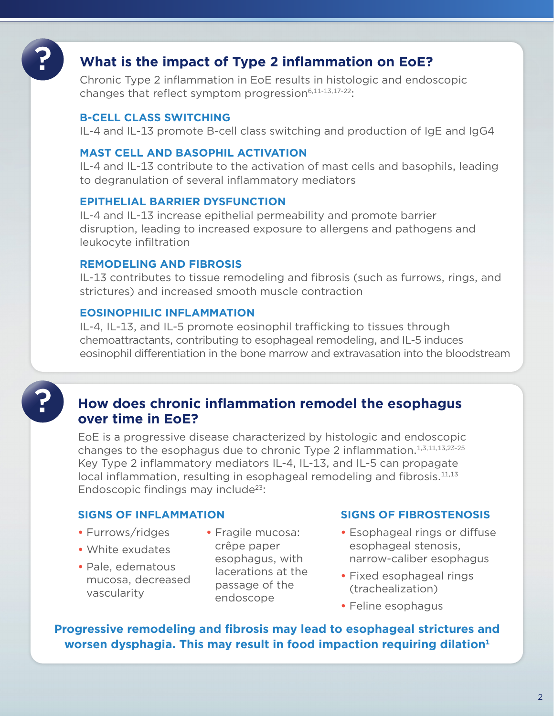## **What is the impact of Type 2 inflammation on EoE?**

Chronic Type 2 inflammation in EoE results in histologic and endoscopic changes that reflect symptom progression<sup>6,11-13,17-22</sup>:

#### **B-CELL CLASS SWITCHING**

IL-4 and IL-13 promote B-cell class switching and production of IgE and IgG4

### **MAST CELL AND BASOPHIL ACTIVATION**

IL-4 and IL-13 contribute to the activation of mast cells and basophils, leading to degranulation of several inflammatory mediators

#### **EPITHELIAL BARRIER DYSFUNCTION**

IL-4 and IL-13 increase epithelial permeability and promote barrier disruption, leading to increased exposure to allergens and pathogens and leukocyte infiltration

#### **REMODELING AND FIBROSIS**

IL-13 contributes to tissue remodeling and fibrosis (such as furrows, rings, and strictures) and increased smooth muscle contraction

#### **EOSINOPHILIC INFLAMMATION**

IL-4, IL-13, and IL-5 promote eosinophil trafficking to tissues through chemoattractants, contributing to esophageal remodeling, and IL-5 induces eosinophil differentiation in the bone marrow and extravasation into the bloodstream

### **How does chronic inflammation remodel the esophagus over time in EoE?**

EoE is a progressive disease characterized by histologic and endoscopic changes to the esophagus due to chronic Type 2 inflammation.<sup>1,3,11,13,23-25</sup> Key Type 2 inflammatory mediators IL-4, IL-13, and IL-5 can propagate local inflammation, resulting in esophageal remodeling and fibrosis. $11,13$ Endoscopic findings may include<sup>23</sup>:

- Furrows/ridges
- White exudates
- Pale, edematous mucosa, decreased vascularity
- Fragile mucosa: crêpe paper esophagus, with lacerations at the passage of the endoscope

#### **SIGNS OF INFLAMMATION SIGNS OF FIBROSTENOSIS**

- **•** Esophageal rings or diffuse esophageal stenosis, narrow-caliber esophagus
- **•** Fixed esophageal rings (trachealization)
- **•** Feline esophagus

**Progressive remodeling and fibrosis may lead to esophageal strictures and worsen dysphagia. This may result in food impaction requiring dilation**<sup>1</sup>